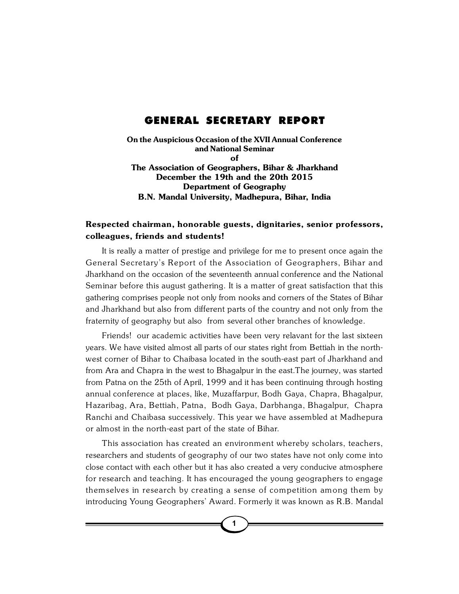## GENERAL SECRETARY REPORT

**On the Auspicious Occasion of the XVII Annual Conference and National Seminar of The Association of Geographers, Bihar & Jharkhand December the 19th and the 20th 2015 Department of Geography B.N. Mandal University, Madhepura, Bihar, India**

## **Respected chairman, honorable guests, dignitaries, senior professors, colleagues, friends and students!**

It is really a matter of prestige and privilege for me to present once again the General Secretary's Report of the Association of Geographers, Bihar and Jharkhand on the occasion of the seventeenth annual conference and the National Seminar before this august gathering. It is a matter of great satisfaction that this gathering comprises people not only from nooks and corners of the States of Bihar and Jharkhand but also from different parts of the country and not only from the fraternity of geography but also from several other branches of knowledge.

Friends! our academic activities have been very relavant for the last sixteen years. We have visited almost all parts of our states right from Bettiah in the northwest corner of Bihar to Chaibasa located in the south-east part of Jharkhand and from Ara and Chapra in the west to Bhagalpur in the east.The journey, was started from Patna on the 25th of April, 1999 and it has been continuing through hosting annual conference at places, like, Muzaffarpur, Bodh Gaya, Chapra, Bhagalpur, Hazaribag, Ara, Bettiah, Patna, Bodh Gaya, Darbhanga, Bhagalpur, Chapra Ranchi and Chaibasa successively. This year we have assembled at Madhepura or almost in the north-east part of the state of Bihar.

This association has created an environment whereby scholars, teachers, researchers and students of geography of our two states have not only come into close contact with each other but it has also created a very conducive atmosphere for research and teaching. It has encouraged the young geographers to engage themselves in research by creating a sense of competition among them by introducing Young Geographers' Award. Formerly it was known as R.B. Mandal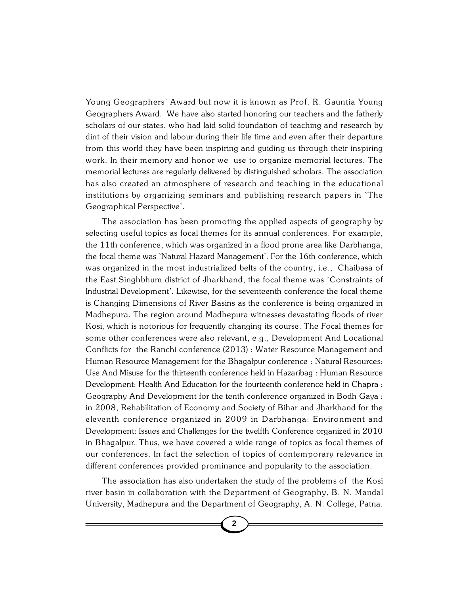Young Geographers' Award but now it is known as Prof. R. Gauntia Young Geographers Award. We have also started honoring our teachers and the fatherly scholars of our states, who had laid solid foundation of teaching and research by dint of their vision and labour during their life time and even after their departure from this world they have been inspiring and guiding us through their inspiring work. In their memory and honor we use to organize memorial lectures. The memorial lectures are regularly delivered by distinguished scholars. The association has also created an atmosphere of research and teaching in the educational institutions by organizing seminars and publishing research papers in `The Geographical Perspective'.

The association has been promoting the applied aspects of geography by selecting useful topics as focal themes for its annual conferences. For example, the 11th conference, which was organized in a flood prone area like Darbhanga, the focal theme was `Natural Hazard Management'. For the 16th conference, which was organized in the most industrialized belts of the country, i.e., Chaibasa of the East Singhbhum district of Jharkhand, the focal theme was `Constraints of Industrial Development'. Likewise, for the seventeenth conference the focal theme is Changing Dimensions of River Basins as the conference is being organized in Madhepura. The region around Madhepura witnesses devastating floods of river Kosi, which is notorious for frequently changing its course. The Focal themes for some other conferences were also relevant, e.g., Development And Locational Conflicts for the Ranchi conference (2013) : Water Resource Management and Human Resource Management for the Bhagalpur conference : Natural Resources: Use And Misuse for the thirteenth conference held in Hazaribag : Human Resource Development: Health And Education for the fourteenth conference held in Chapra : Geography And Development for the tenth conference organized in Bodh Gaya : in 2008, Rehabilitation of Economy and Society of Bihar and Jharkhand for the eleventh conference organized in 2009 in Darbhanga: Environment and Development: Issues and Challenges for the twelfth Conference organized in 2010 in Bhagalpur. Thus, we have covered a wide range of topics as focal themes of our conferences. In fact the selection of topics of contemporary relevance in different conferences provided prominance and popularity to the association.

The association has also undertaken the study of the problems of the Kosi river basin in collaboration with the Department of Geography, B. N. Mandal University, Madhepura and the Department of Geography, A. N. College, Patna.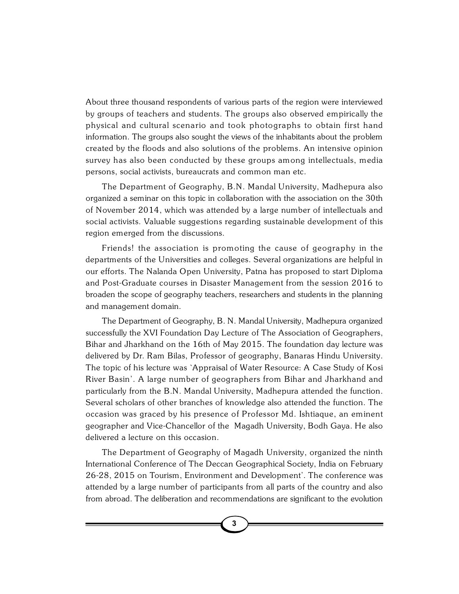About three thousand respondents of various parts of the region were interviewed by groups of teachers and students. The groups also observed empirically the physical and cultural scenario and took photographs to obtain first hand information. The groups also sought the views of the inhabitants about the problem created by the floods and also solutions of the problems. An intensive opinion survey has also been conducted by these groups among intellectuals, media persons, social activists, bureaucrats and common man etc.

The Department of Geography, B.N. Mandal University, Madhepura also organized a seminar on this topic in collaboration with the association on the 30th of November 2014, which was attended by a large number of intellectuals and social activists. Valuable suggestions regarding sustainable development of this region emerged from the discussions.

Friends! the association is promoting the cause of geography in the departments of the Universities and colleges. Several organizations are helpful in our efforts. The Nalanda Open University, Patna has proposed to start Diploma and Post-Graduate courses in Disaster Management from the session 2016 to broaden the scope of geography teachers, researchers and students in the planning and management domain.

The Department of Geography, B. N. Mandal University, Madhepura organized successfully the XVI Foundation Day Lecture of The Association of Geographers, Bihar and Jharkhand on the 16th of May 2015. The foundation day lecture was delivered by Dr. Ram Bilas, Professor of geography, Banaras Hindu University. The topic of his lecture was `Appraisal of Water Resource: A Case Study of Kosi River Basin'. A large number of geographers from Bihar and Jharkhand and particularly from the B.N. Mandal University, Madhepura attended the function. Several scholars of other branches of knowledge also attended the function. The occasion was graced by his presence of Professor Md. Ishtiaque, an eminent geographer and Vice-Chancellor of the Magadh University, Bodh Gaya. He also delivered a lecture on this occasion.

The Department of Geography of Magadh University, organized the ninth International Conference of The Deccan Geographical Society, India on February 26-28, 2015 on Tourism, Environment and Development'. The conference was attended by a large number of participants from all parts of the country and also from abroad. The deliberation and recommendations are significant to the evolution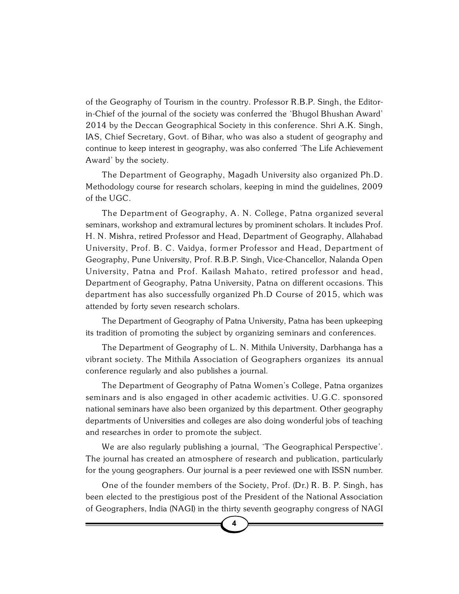of the Geography of Tourism in the country. Professor R.B.P. Singh, the Editorin-Chief of the journal of the society was conferred the `Bhugol Bhushan Award' 2014 by the Deccan Geographical Society in this conference. Shri A.K. Singh, IAS, Chief Secretary, Govt. of Bihar, who was also a student of geography and continue to keep interest in geography, was also conferred `The Life Achievement Award' by the society.

The Department of Geography, Magadh University also organized Ph.D. Methodology course for research scholars, keeping in mind the guidelines, 2009 of the UGC.

The Department of Geography, A. N. College, Patna organized several seminars, workshop and extramural lectures by prominent scholars. It includes Prof. H. N. Mishra, retired Professor and Head, Department of Geography, Allahabad University, Prof. B. C. Vaidya, former Professor and Head, Department of Geography, Pune University, Prof. R.B.P. Singh, Vice-Chancellor, Nalanda Open University, Patna and Prof. Kailash Mahato, retired professor and head, Department of Geography, Patna University, Patna on different occasions. This department has also successfully organized Ph.D Course of 2015, which was attended by forty seven research scholars.

The Department of Geography of Patna University, Patna has been upkeeping its tradition of promoting the subject by organizing seminars and conferences.

The Department of Geography of L. N. Mithila University, Darbhanga has a vibrant society. The Mithila Association of Geographers organizes its annual conference regularly and also publishes a journal.

The Department of Geography of Patna Women's College, Patna organizes seminars and is also engaged in other academic activities. U.G.C. sponsored national seminars have also been organized by this department. Other geography departments of Universities and colleges are also doing wonderful jobs of teaching and researches in order to promote the subject.

We are also regularly publishing a journal, `The Geographical Perspective'. The journal has created an atmosphere of research and publication, particularly for the young geographers. Our journal is a peer reviewed one with ISSN number.

One of the founder members of the Society, Prof. (Dr.) R. B. P. Singh, has been elected to the prestigious post of the President of the National Association of Geographers, India (NAGI) in the thirty seventh geography congress of NAGI